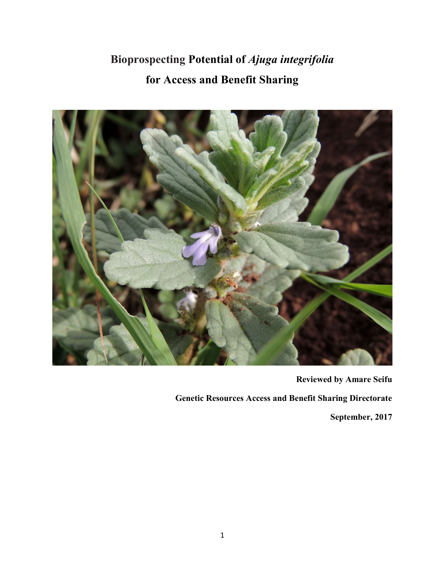# Bioprospecting Potential of Ajuga integrifolia for Access and Benefit Sharing



Reviewed by Amare Seifu

Genetic Resources Access and Benefit Sharing Directorate

September, 2017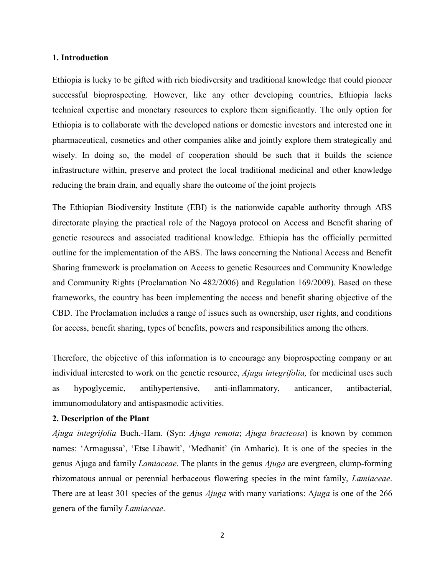#### 1. Introduction

Ethiopia is lucky to be gifted with rich biodiversity and traditional knowledge that could pioneer successful bioprospecting. However, like any other developing countries, Ethiopia lacks technical expertise and monetary resources to explore them significantly. The only option for Ethiopia is to collaborate with the developed nations or domestic investors and interested one in pharmaceutical, cosmetics and other companies alike and jointly explore them strategically and wisely. In doing so, the model of cooperation should be such that it builds the science infrastructure within, preserve and protect the local traditional medicinal and other knowledge reducing the brain drain, and equally share the outcome of the joint projects

The Ethiopian Biodiversity Institute (EBI) is the nationwide capable authority through ABS directorate playing the practical role of the Nagoya protocol on Access and Benefit sharing of genetic resources and associated traditional knowledge. Ethiopia has the officially permitted outline for the implementation of the ABS. The laws concerning the National Access and Benefit Sharing framework is proclamation on Access to genetic Resources and Community Knowledge and Community Rights (Proclamation No 482/2006) and Regulation 169/2009). Based on these frameworks, the country has been implementing the access and benefit sharing objective of the CBD. The Proclamation includes a range of issues such as ownership, user rights, and conditions for access, benefit sharing, types of benefits, powers and responsibilities among the others.

Therefore, the objective of this information is to encourage any bioprospecting company or an individual interested to work on the genetic resource, *Ajuga integrifolia*, for medicinal uses such as hypoglycemic, antihypertensive, anti-inflammatory, anticancer, antibacterial, immunomodulatory and antispasmodic activities.

#### 2. Description of the Plant

Ajuga integrifolia Buch.-Ham. (Syn: Ajuga remota; Ajuga bracteosa) is known by common names: 'Armagussa', 'Etse Libawit', 'Medhanit' (in Amharic). It is one of the species in the genus Ajuga and family Lamiaceae. The plants in the genus Ajuga are evergreen, clump-forming rhizomatous annual or perennial herbaceous flowering species in the mint family, Lamiaceae. There are at least 301 species of the genus *Ajuga* with many variations: Ajuga is one of the 266 genera of the family Lamiaceae.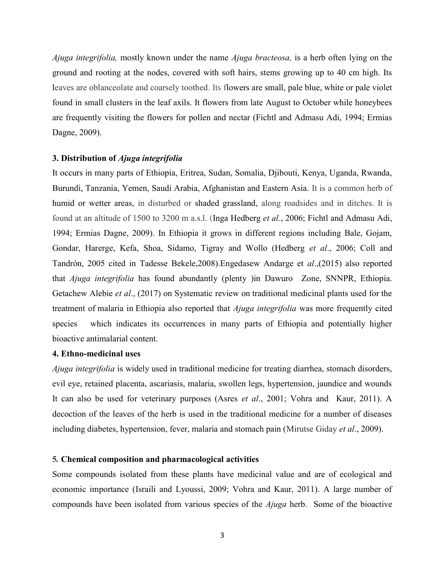*Ajuga integrifolia*, mostly known under the name *Ajuga bracteosa*, is a herb often lying on the ground and rooting at the nodes, covered with soft hairs, stems growing up to 40 cm high. Its leaves are oblanceolate and coarsely toothed. Its flowers are small, pale blue, white or pale violet found in small clusters in the leaf axils. It flowers from late August to October while honeybees are frequently visiting the flowers for pollen and nectar (Fichtl and Admasu Adi, 1994; Ermias Dagne, 2009).

# 3. Distribution of Ajuga integrifolia

It occurs in many parts of Ethiopia, Eritrea, Sudan, Somalia, Djibouti, Kenya, Uganda, Rwanda, Burundi, Tanzania, Yemen, Saudi Arabia, Afghanistan and Eastern Asia. It is a common herb of humid or wetter areas, in disturbed or shaded grassland, along roadsides and in ditches. It is found at an altitude of 1500 to 3200 m a.s.l. (Inga Hedberg et al., 2006; Fichtl and Admasu Adi, 1994; Ermias Dagne, 2009). In Ethiopia it grows in different regions including Bale, Gojam, Gondar, Harerge, Kefa, Shoa, Sidamo, Tigray and Wollo (Hedberg et al., 2006; Coll and Tandrón, 2005 cited in Tadesse Bekele,2008).Engedasew Andarge et al.,(2015) also reported that Ajuga integrifolia has found abundantly (plenty )in Dawuro Zone, SNNPR, Ethiopia. Getachew Alebie et al., (2017) on Systematic review on traditional medicinal plants used for the treatment of malaria in Ethiopia also reported that Ajuga integrifolia was more frequently cited species which indicates its occurrences in many parts of Ethiopia and potentially higher bioactive antimalarial content.

# 4. Ethno-medicinal uses

Ajuga integrifolia is widely used in traditional medicine for treating diarrhea, stomach disorders, evil eye, retained placenta, ascariasis, malaria, swollen legs, hypertension, jaundice and wounds It can also be used for veterinary purposes (Asres *et al.*, 2001; Vohra and Kaur, 2011). A decoction of the leaves of the herb is used in the traditional medicine for a number of diseases including diabetes, hypertension, fever, malaria and stomach pain (Mirutse Giday *et al.*, 2009).

#### 5. Chemical composition and pharmacological activities

Some compounds isolated from these plants have medicinal value and are of ecological and economic importance (Israili and Lyoussi, 2009; Vohra and Kaur, 2011). A large number of compounds have been isolated from various species of the Ajuga herb. Some of the bioactive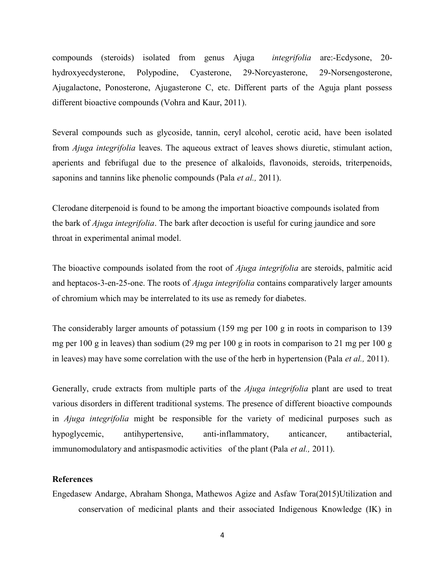compounds (steroids) isolated from genus Ajuga integrifolia are:-Ecdysone, 20 hydroxyecdysterone, Polypodine, Cyasterone, 29-Norcyasterone, 29-Norsengosterone, Ajugalactone, Ponosterone, Ajugasterone C, etc. Different parts of the Aguja plant possess different bioactive compounds (Vohra and Kaur, 2011).

Several compounds such as glycoside, tannin, ceryl alcohol, cerotic acid, have been isolated from Ajuga integrifolia leaves. The aqueous extract of leaves shows diuretic, stimulant action, aperients and febrifugal due to the presence of alkaloids, flavonoids, steroids, triterpenoids, saponins and tannins like phenolic compounds (Pala *et al.*, 2011).

Clerodane diterpenoid is found to be among the important bioactive compounds isolated from the bark of Ajuga integrifolia. The bark after decoction is useful for curing jaundice and sore throat in experimental animal model.

The bioactive compounds isolated from the root of *Ajuga integrifolia* are steroids, palmitic acid and heptacos-3-en-25-one. The roots of  $A_j$ uga integrifolia contains comparatively larger amounts of chromium which may be interrelated to its use as remedy for diabetes.

The considerably larger amounts of potassium (159 mg per 100 g in roots in comparison to 139 mg per 100 g in leaves) than sodium (29 mg per 100 g in roots in comparison to 21 mg per 100 g in leaves) may have some correlation with the use of the herb in hypertension (Pala *et al.*, 2011).

Generally, crude extracts from multiple parts of the Ajuga integrifolia plant are used to treat various disorders in different traditional systems. The presence of different bioactive compounds in *Ajuga integrifolia* might be responsible for the variety of medicinal purposes such as hypoglycemic, antihypertensive, anti-inflammatory, anticancer, antibacterial, immunomodulatory and antispasmodic activities of the plant (Pala *et al.*, 2011).

# References

Engedasew Andarge, Abraham Shonga, Mathewos Agize and Asfaw Tora(2015)Utilization and conservation of medicinal plants and their associated Indigenous Knowledge (IK) in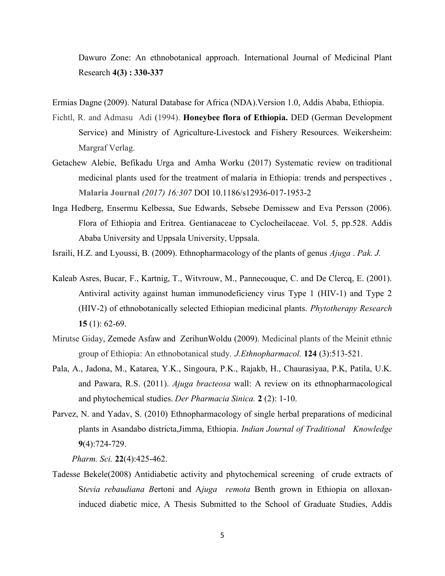Dawuro Zone: An ethnobotanical approach. International Journal of Medicinal Plant Research 4(3) : 330-337

Ermias Dagne (2009). Natural Database for Africa (NDA).Version 1.0, Addis Ababa, Ethiopia.

- Fichtl, R. and Admasu Adi (1994). Honeybee flora of Ethiopia. DED (German Development Service) and Ministry of Agriculture-Livestock and Fishery Resources. Weikersheim: Margraf Verlag.
- Getachew Alebie, Befikadu Urga and Amha Worku (2017) Systematic review on traditional medicinal plants used for the treatment of malaria in Ethiopia: trends and perspectives , Malaria Journal (2017) 16:307 DOI 10.1186/s12936-017-1953-2
- Inga Hedberg, Ensermu Kelbessa, Sue Edwards, Sebsebe Demissew and Eva Persson (2006). Flora of Ethiopia and Eritrea. Gentianaceae to Cyclocheilaceae. Vol. 5, pp.528. Addis Ababa University and Uppsala University, Uppsala.

Israili, H.Z. and Lyoussi, B. (2009). Ethnopharmacology of the plants of genus Ajuga . Pak. J.

- Kaleab Asres, Bucar, F., Kartnig, T., Witvrouw, M., Pannecouque, C. and De Clercq, E. (2001). Antiviral activity against human immunodeficiency virus Type 1 (HIV-1) and Type 2 (HIV-2) of ethnobotanically selected Ethiopian medicinal plants. Phytotherapy Research 15 (1): 62-69.
- Mirutse Giday, Zemede Asfaw and ZerihunWoldu (2009). Medicinal plants of the Meinit ethnic group of Ethiopia: An ethnobotanical study. *J.Ethnopharmacol*. **124** (3):513-521.
- Pala, A., Jadona, M., Katarea, Y.K., Singoura, P.K., Rajakb, H., Chaurasiyaa, P.K, Patila, U.K. and Pawara, R.S. (2011). Ajuga bracteosa wall: A review on its ethnopharmacological and phytochemical studies. Der Pharmacia Sinica. 2 (2): 1-10.
- Parvez, N. and Yadav, S. (2010) Ethnopharmacology of single herbal preparations of medicinal plants in Asandabo districta,Jimma, Ethiopia. Indian Journal of Traditional Knowledge 9(4):724-729.

Pharm. Sci. 22(4):425-462.

Tadesse Bekele(2008) Antidiabetic activity and phytochemical screening of crude extracts of Stevia rebaudiana Bertoni and Ajuga remota Benth grown in Ethiopia on alloxaninduced diabetic mice, A Thesis Submitted to the School of Graduate Studies, Addis